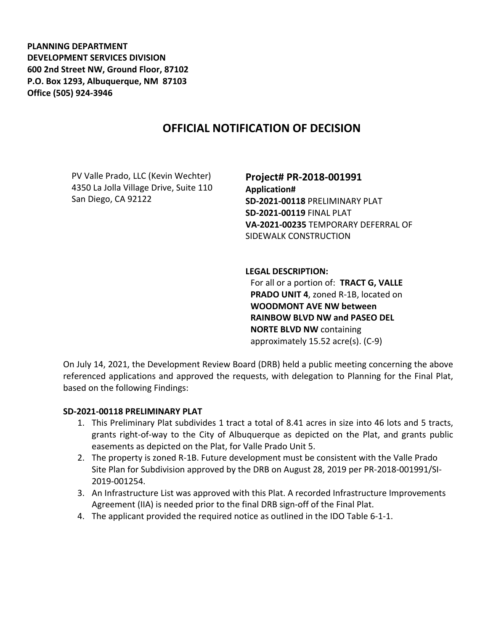**PLANNING DEPARTMENT DEVELOPMENT SERVICES DIVISION 600 2nd Street NW, Ground Floor, 87102 P.O. Box 1293, Albuquerque, NM 87103 Office (505) 924-3946** 

# **OFFICIAL NOTIFICATION OF DECISION**

PV Valle Prado, LLC (Kevin Wechter) 4350 La Jolla Village Drive, Suite 110 San Diego, CA 92122

**Project# PR-2018-001991 Application# SD-2021-00118** PRELIMINARY PLAT **SD-2021-00119** FINAL PLAT

**VA-2021-00235** TEMPORARY DEFERRAL OF SIDEWALK CONSTRUCTION

**LEGAL DESCRIPTION:**

For all or a portion of: **TRACT G, VALLE PRADO UNIT 4**, zoned R-1B, located on **WOODMONT AVE NW between RAINBOW BLVD NW and PASEO DEL NORTE BLVD NW** containing approximately 15.52 acre(s). (C-9)

On July 14, 2021, the Development Review Board (DRB) held a public meeting concerning the above referenced applications and approved the requests, with delegation to Planning for the Final Plat, based on the following Findings:

#### **SD-2021-00118 PRELIMINARY PLAT**

- 1. This Preliminary Plat subdivides 1 tract a total of 8.41 acres in size into 46 lots and 5 tracts, grants right-of-way to the City of Albuquerque as depicted on the Plat, and grants public easements as depicted on the Plat, for Valle Prado Unit 5.
- 2. The property is zoned R-1B. Future development must be consistent with the Valle Prado Site Plan for Subdivision approved by the DRB on August 28, 2019 per PR-2018-001991/SI-2019-001254.
- 3. An Infrastructure List was approved with this Plat. A recorded Infrastructure Improvements Agreement (IIA) is needed prior to the final DRB sign-off of the Final Plat.
- 4. The applicant provided the required notice as outlined in the IDO Table 6-1-1.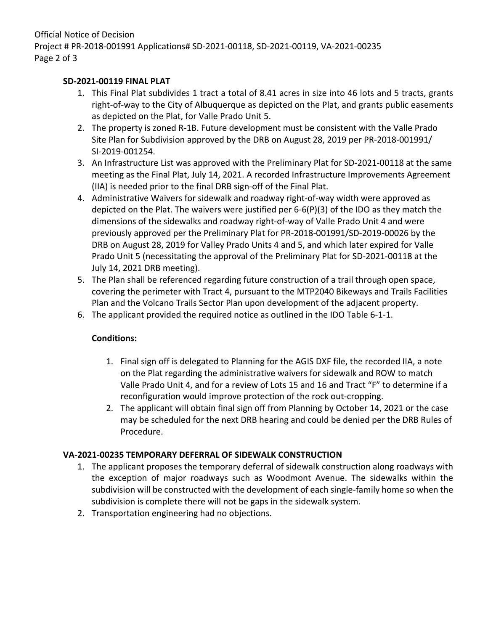Official Notice of Decision Project # PR-2018-001991 Applications# SD-2021-00118, SD-2021-00119, VA-2021-00235 Page 2 of 3

### **SD-2021-00119 FINAL PLAT**

- 1. This Final Plat subdivides 1 tract a total of 8.41 acres in size into 46 lots and 5 tracts, grants right-of-way to the City of Albuquerque as depicted on the Plat, and grants public easements as depicted on the Plat, for Valle Prado Unit 5.
- 2. The property is zoned R-1B. Future development must be consistent with the Valle Prado Site Plan for Subdivision approved by the DRB on August 28, 2019 per PR-2018-001991/ SI-2019-001254.
- 3. An Infrastructure List was approved with the Preliminary Plat for SD-2021-00118 at the same meeting as the Final Plat, July 14, 2021. A recorded Infrastructure Improvements Agreement (IIA) is needed prior to the final DRB sign-off of the Final Plat.
- 4. Administrative Waivers for sidewalk and roadway right-of-way width were approved as depicted on the Plat. The waivers were justified per 6-6(P)(3) of the IDO as they match the dimensions of the sidewalks and roadway right-of-way of Valle Prado Unit 4 and were previously approved per the Preliminary Plat for PR-2018-001991/SD-2019-00026 by the DRB on August 28, 2019 for Valley Prado Units 4 and 5, and which later expired for Valle Prado Unit 5 (necessitating the approval of the Preliminary Plat for SD-2021-00118 at the July 14, 2021 DRB meeting).
- 5. The Plan shall be referenced regarding future construction of a trail through open space, covering the perimeter with Tract 4, pursuant to the MTP2040 Bikeways and Trails Facilities Plan and the Volcano Trails Sector Plan upon development of the adjacent property.
- 6. The applicant provided the required notice as outlined in the IDO Table 6-1-1.

## **Conditions:**

- 1. Final sign off is delegated to Planning for the AGIS DXF file, the recorded IIA, a note on the Plat regarding the administrative waivers for sidewalk and ROW to match Valle Prado Unit 4, and for a review of Lots 15 and 16 and Tract "F" to determine if a reconfiguration would improve protection of the rock out-cropping.
- 2. The applicant will obtain final sign off from Planning by October 14, 2021 or the case may be scheduled for the next DRB hearing and could be denied per the DRB Rules of Procedure.

## **VA-2021-00235 TEMPORARY DEFERRAL OF SIDEWALK CONSTRUCTION**

- 1. The applicant proposes the temporary deferral of sidewalk construction along roadways with the exception of major roadways such as Woodmont Avenue. The sidewalks within the subdivision will be constructed with the development of each single-family home so when the subdivision is complete there will not be gaps in the sidewalk system.
- 2. Transportation engineering had no objections.